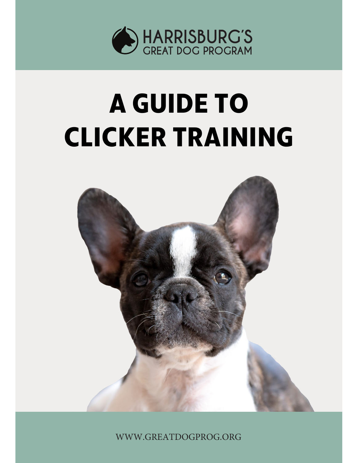

# **A GUIDE TO CLICKER TRAINING**



WWW.GREATDOGPROG.ORG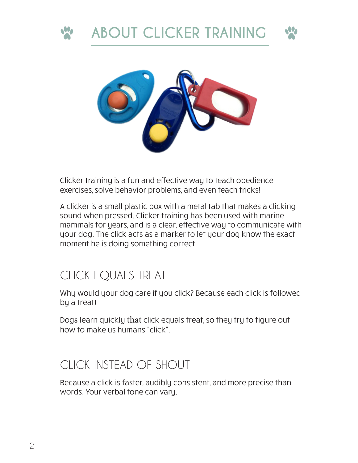





Clicker training is a fun and effective way to teach obedience exercises, solve behavior problems, and even teach tricks!

A clicker is a small plastic box with a metal tab that makes a clicking sound when pressed. Clicker training has been used with marine mammals for years, and is a clear, effective way to communicate with your dog. The click acts as a marker to let your dog know the exact moment he is doing something correct.

#### CLICK EQUALS TREAT

Why would your dog care if you click? Because each click is followed by a treat!

Dogs learn quickly that click equals treat, so they try to figure out how to make us humans "click".

#### CLICK INSTEAD OF SHOUT

Because a click is faster, audibly consistent, and more precise than words. Your verbal tone can vary.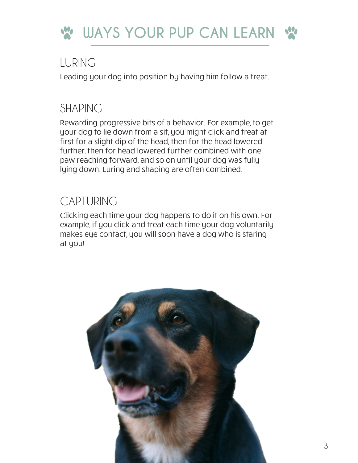

#### LURING

Leading your dog into position by having him follow a treat.

#### SHAPING

Rewarding progressive bits of a behavior. For example, to get your dog to lie down from a sit, you might click and treat at first for a slight dip of the head, then for the head lowered further, then for head lowered further combined with one paw reaching forward, and so on until your dog was fully lying down. Luring and shaping are often combined.

### CAPTURING

Clicking each time your dog happens to do it on his own. For example, if you click and treat each time your dog voluntarily makes eye contact, you will soon have a dog who is staring at you!

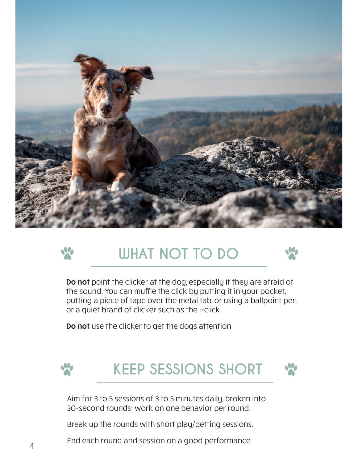



## **WHAT NOT TO DO**



Do not point the clicker at the dog, especially if they are afraid of the sound. You can muffle the click by putting it in your pocket, putting a piece of tape over the metal tab, or using a ballpoint pen or a quiet brand of clicker such as the i-click.

Do not use the clicker to get the dogs attention



**KEEP SESSIONS SHORT**



Aim for 3 to 5 sessions of 3 to 5 minutes daily, broken into 30-second rounds: work on one behavior per round.

Break up the rounds with short play/petting sessions.

End each round and session on a good performance.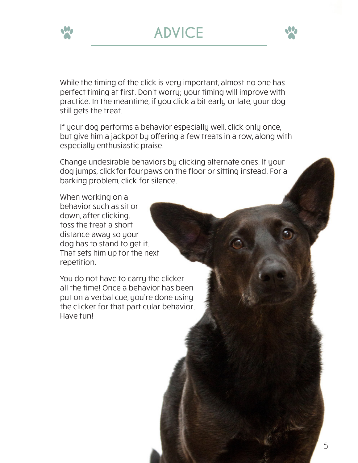





While the timing of the click is very important, almost no one has perfect timing at first. Don't worry; your timing will improve with practice. In the meantime, if you click a bit early or late, your dog still gets the treat.

If your dog performs a behavior especially well, click only once, but give him a jackpot by offering a few treats in a row, along with especially enthusiastic praise.

Change undesirable behaviors by clicking alternate ones. If your dog jumps, clickfor fourpaws on the floor or sitting instead. For a barking problem, click for silence.

When working on a behavior such as sit or down, after clicking, toss the treat a short distance away so your dog has to stand to get it. That sets him up for the next repetition.

You do not have to carry the clicker all the time! Once a behavior has been put on a verbal cue, you're done using the clicker for that particular behavior. Have fun!